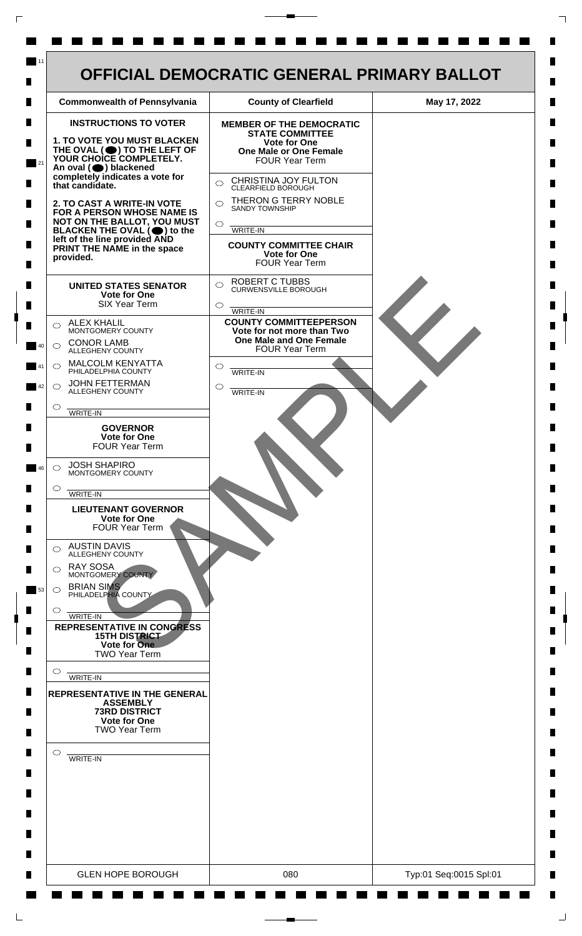

 $\mathsf{L}$ 

 $\Box$